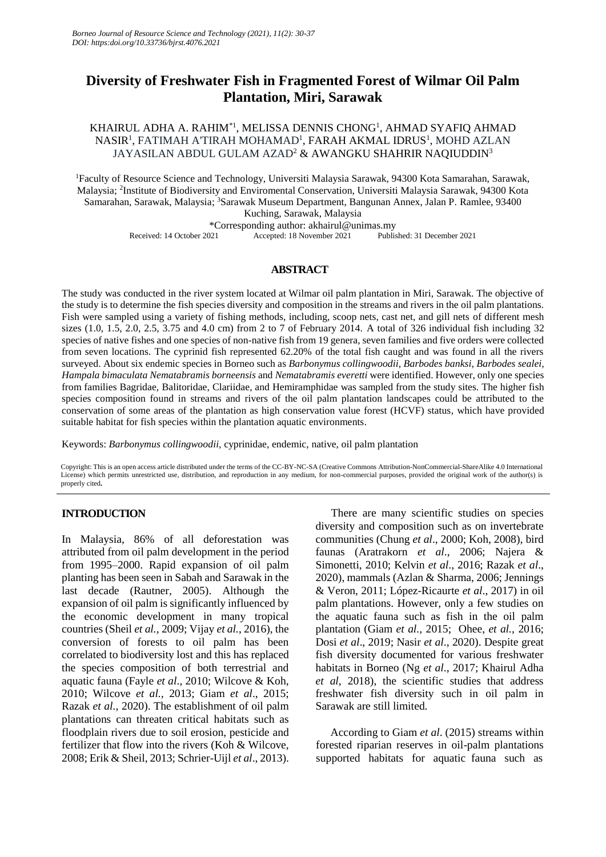# **Diversity of Freshwater Fish in Fragmented Forest of Wilmar Oil Palm Plantation, Miri, Sarawak**

KHAIRUL ADHA A. RAHIM\*1, MELISSA DENNIS CHONG<sup>1</sup> , AHMAD SYAFIQ AHMAD NASIR<sup>1</sup>, FATIMAH A'TIRAH MOHAMAD<sup>1</sup>, FARAH AKMAL IDRUS<sup>1</sup>, MOHD AZLAN JAYASILAN ABDUL GULAM AZAD<sup>2</sup> & AWANGKU SHAHRIR NAOIUDDIN<sup>3</sup>

<sup>1</sup>Faculty of Resource Science and Technology, Universiti Malaysia Sarawak, 94300 Kota Samarahan, Sarawak, Malaysia; <sup>2</sup>Institute of Biodiversity and Enviromental Conservation, Universiti Malaysia Sarawak, 94300 Kota Samarahan, Sarawak, Malaysia; <sup>3</sup>Sarawak Museum Department, Bangunan Annex, Jalan P. Ramlee, 93400 Kuching, Sarawak, Malaysia \*Corresponding author: akhairul@unimas.my

Received: 14 October 2021 Accepted: 18 November 2021 Published: 31 December 2021

## **ABSTRACT**

The study was conducted in the river system located at Wilmar oil palm plantation in Miri, Sarawak. The objective of the study is to determine the fish species diversity and composition in the streams and rivers in the oil palm plantations. Fish were sampled using a variety of fishing methods, including, scoop nets, cast net, and gill nets of different mesh sizes (1.0, 1.5, 2.0, 2.5, 3.75 and 4.0 cm) from 2 to 7 of February 2014. A total of 326 individual fish including 32 species of native fishes and one species of non-native fish from 19 genera, seven families and five orders were collected from seven locations. The cyprinid fish represented 62.20% of the total fish caught and was found in all the rivers surveyed. About six endemic species in Borneo such as *Barbonymus collingwoodii, Barbodes banksi*, *Barbodes sealei, Hampala bimaculata Nematabramis borneensis* and *Nematabramis everetti* were identified. However, only one species from families Bagridae, Balitoridae, Clariidae, and Hemiramphidae was sampled from the study sites. The higher fish species composition found in streams and rivers of the oil palm plantation landscapes could be attributed to the conservation of some areas of the plantation as high conservation value forest (HCVF) status, which have provided suitable habitat for fish species within the plantation aquatic environments.

Keywords: *Barbonymus collingwoodii,* cyprinidae, endemic, native, oil palm plantation

Copyright: This is an open access article distributed under the terms of the CC-BY-NC-SA (Creative Commons Attribution-NonCommercial-ShareAlike 4.0 International License) which permits unrestricted use, distribution, and reproduction in any medium, for non-commercial purposes, provided the original work of the author(s) is properly cited**.**

# **INTRODUCTION**

In Malaysia, 86% of all deforestation was attributed from oil palm development in the period from 1995–2000. Rapid expansion of oil palm planting has been seen in Sabah and Sarawak in the last decade (Rautner, 2005). Although the expansion of oil palm is significantly influenced by the economic development in many tropical countries (Sheil *et al.,* 2009; Vijay *et al.*, 2016), the conversion of forests to oil palm has been correlated to biodiversity lost and this has replaced the species composition of both terrestrial and aquatic fauna (Fayle *et al*., 2010; Wilcove & Koh, 2010; Wilcove *et al.,* 2013; Giam *et al*., 2015; Razak *et al.,* 2020). The establishment of oil palm plantations can threaten critical habitats such as floodplain rivers due to soil erosion, pesticide and fertilizer that flow into the rivers (Koh & Wilcove, 2008; Erik & Sheil, 2013; Schrier-Uijl *et al*., 2013).

There are many scientific studies on species diversity and composition such as on invertebrate communities (Chung *et al*., 2000; Koh, 2008), bird faunas (Aratrakorn *et al*., 2006; Najera & Simonetti, 2010; Kelvin *et al*., 2016; Razak *et al*., 2020), mammals (Azlan & Sharma, 2006; Jennings & Veron, 2011; López-Ricaurte *et al*., 2017) in oil palm plantations. However, only a few studies on the aquatic fauna such as fish in the oil palm plantation (Giam *et al.,* 2015; Ohee, *et al.*, 2016; Dosi *et al*., 2019; Nasir *et al*., 2020). Despite great fish diversity documented for various freshwater habitats in Borneo (Ng *et al*., 2017; Khairul Adha *et al*, 2018), the scientific studies that address freshwater fish diversity such in oil palm in Sarawak are still limited.

According to Giam *et al*. (2015) streams within forested riparian reserves in oil-palm plantations supported habitats for aquatic fauna such as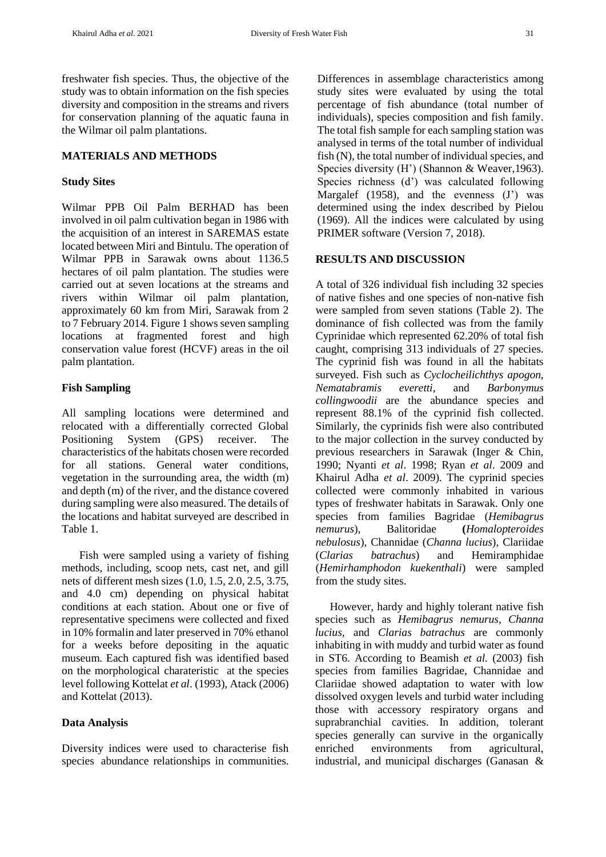freshwater fish species. Thus, the objective of the study was to obtain information on the fish species diversity and composition in the streams and rivers for conservation planning of the aquatic fauna in the Wilmar oil palm plantations.

## **MATERIALS AND METHODS**

#### **Study Sites**

Wilmar PPB Oil Palm BERHAD has been involved in oil palm cultivation began in 1986 with the acquisition of an interest in SAREMAS estate located between Miri and Bintulu. The operation of Wilmar PPB in Sarawak owns about 1136.5 hectares of oil palm plantation. The studies were carried out at seven locations at the streams and rivers within Wilmar oil palm plantation, approximately 60 km from Miri, Sarawak from 2 to 7 February 2014. Figure 1 shows seven sampling locations at fragmented forest and high conservation value forest (HCVF) areas in the oil palm plantation.

#### **Fish Sampling**

All sampling locations were determined and relocated with a differentially corrected Global Positioning System (GPS) receiver. The characteristics of the habitats chosen were recorded for all stations. General water conditions, vegetation in the surrounding area, the width (m) and depth (m) of the river, and the distance covered during sampling were also measured. The details of the locations and habitat surveyed are described in Table 1.

Fish were sampled using a variety of fishing methods, including, scoop nets, cast net, and gill nets of different mesh sizes (1.0, 1.5, 2.0, 2.5, 3.75, and 4.0 cm) depending on physical habitat conditions at each station. About one or five of representative specimens were collected and fixed in 10% formalin and later preserved in 70% ethanol for a weeks before depositing in the aquatic museum. Each captured fish was identified based on the morphological charateristic at the species level following Kottelat *et al*. (1993), Atack (2006) and Kottelat (2013).

## **Data Analysis**

Diversity indices were used to characterise fish species abundance relationships in communities. Differences in assemblage characteristics among study sites were evaluated by using the total percentage of fish abundance (total number of individuals), species composition and fish family. The total fish sample for each sampling station was analysed in terms of the total number of individual fish (N), the total number of individual species, and Species diversity (H') (Shannon & Weaver,1963). Species richness (d') was calculated following Margalef (1958), and the evenness (J') was determined using the index described by Pielou (1969). All the indices were calculated by using PRIMER software (Version 7, 2018).

#### **RESULTS AND DISCUSSION**

A total of 326 individual fish including 32 species of native fishes and one species of non-native fish were sampled from seven stations (Table 2). The dominance of fish collected was from the family Cyprinidae which represented 62.20% of total fish caught, comprising 313 individuals of 27 species. The cyprinid fish was found in all the habitats surveyed. Fish such as *Cyclocheilichthys apogon, Nematabramis everetti*, and *Barbonymus collingwoodii* are the abundance species and represent 88.1% of the cyprinid fish collected. Similarly, the cyprinids fish were also contributed to the major collection in the survey conducted by previous researchers in Sarawak (Inger & Chin, 1990; Nyanti *et al*. 1998; Ryan *et al*. 2009 and Khairul Adha *et al*. 2009). The cyprinid species collected were commonly inhabited in various types of freshwater habitats in Sarawak. Only one species from families Bagridae (*Hemibagrus nemurus*), Balitoridae **(***Homalopteroides nebulosus*), Channidae (*Channa lucius*), Clariidae (*Clarias batrachus*) and Hemiramphidae (*Hemirhamphodon kuekenthali*) were sampled from the study sites.

However, hardy and highly tolerant native fish species such as *Hemibagrus nemurus, Channa lucius,* and *Clarias batrachus* are commonly inhabiting in with muddy and turbid water as found in ST6. According to Beamish *et al.* (2003) fish species from families Bagridae, Channidae and Clariidae showed adaptation to water with low dissolved oxygen levels and turbid water including those with accessory respiratory organs and suprabranchial cavities. In addition, tolerant species generally can survive in the organically enriched environments from agricultural, industrial, and municipal discharges (Ganasan &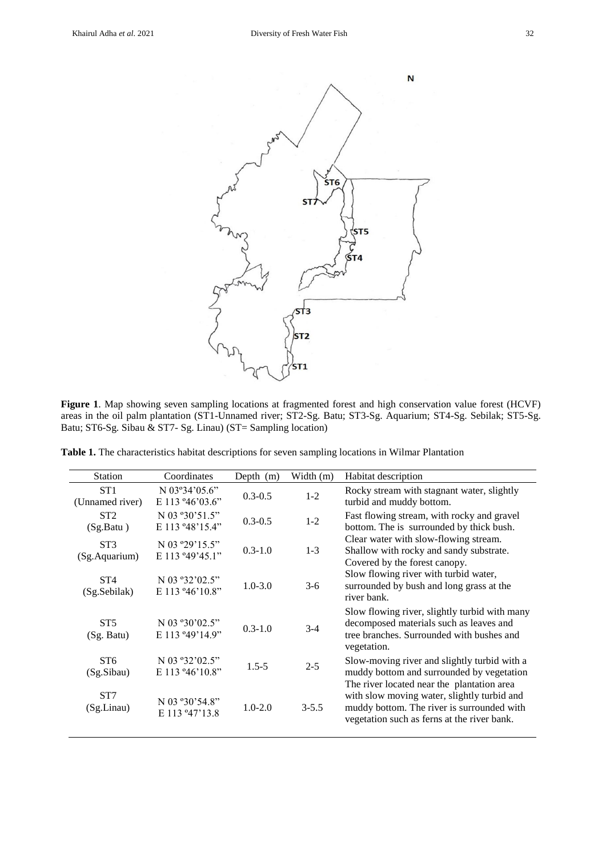

**Figure 1**. Map showing seven sampling locations at fragmented forest and high conservation value forest (HCVF) areas in the oil palm plantation (ST1-Unnamed river; ST2-Sg. Batu; ST3-Sg. Aquarium; ST4-Sg. Sebilak; ST5-Sg. Batu; ST6-Sg. Sibau & ST7- Sg. Linau) (ST= Sampling location)

**Table 1.** The characteristics habitat descriptions for seven sampling locations in Wilmar Plantation

| <b>Station</b>                   | Coordinates                                          | Depth $(m)$ | Width (m) | Habitat description                                                                                                                                                                    |
|----------------------------------|------------------------------------------------------|-------------|-----------|----------------------------------------------------------------------------------------------------------------------------------------------------------------------------------------|
| ST1<br>(Unnamed river)           | N $03^{\circ}34'05.6"$<br>E 113 $946'03.6"$          | $0.3 - 0.5$ | $1 - 2$   | Rocky stream with stagnant water, slightly<br>turbid and muddy bottom.                                                                                                                 |
| ST <sub>2</sub><br>(Sg.Batu)     | N 03 ° 30' 51.5"<br>E 113 ° 48' 15.4"                | $0.3 - 0.5$ | $1 - 2$   | Fast flowing stream, with rocky and gravel<br>bottom. The is surrounded by thick bush.                                                                                                 |
| ST <sub>3</sub><br>(Sg.Aquarium) | N 03 ° 29' 15.5"<br>E 113 ° 49' 45.1"                | $0.3 - 1.0$ | $1 - 3$   | Clear water with slow-flowing stream.<br>Shallow with rocky and sandy substrate.<br>Covered by the forest canopy.                                                                      |
| ST4<br>(Sg.Sebilak)              | N 03 ° 32 ' 02.5"<br>E 113 $946'10.8"$               | $1.0 - 3.0$ | $3-6$     | Slow flowing river with turbid water,<br>surrounded by bush and long grass at the<br>river bank.                                                                                       |
| ST <sub>5</sub><br>(Sg. Batu)    | N 03 $\degree 30\degree 02.5$ "<br>E 113 ° 49' 14.9" | $0.3 - 1.0$ | $3-4$     | Slow flowing river, slightly turbid with many<br>decomposed materials such as leaves and<br>tree branches. Surrounded with bushes and<br>vegetation.                                   |
| ST <sub>6</sub><br>(Sg.Sibau)    | N 03 ° 32 ' 02.5"<br>E 113 °46'10.8"                 | $1.5 - 5$   | $2 - 5$   | Slow-moving river and slightly turbid with a<br>muddy bottom and surrounded by vegetation                                                                                              |
| ST <sub>7</sub><br>(Sg.Linau)    | N 03 ° 30' 54.8"<br>E 113 ° 47' 13.8                 | $1.0 - 2.0$ | $3 - 5.5$ | The river located near the plantation area<br>with slow moving water, slightly turbid and<br>muddy bottom. The river is surrounded with<br>vegetation such as ferns at the river bank. |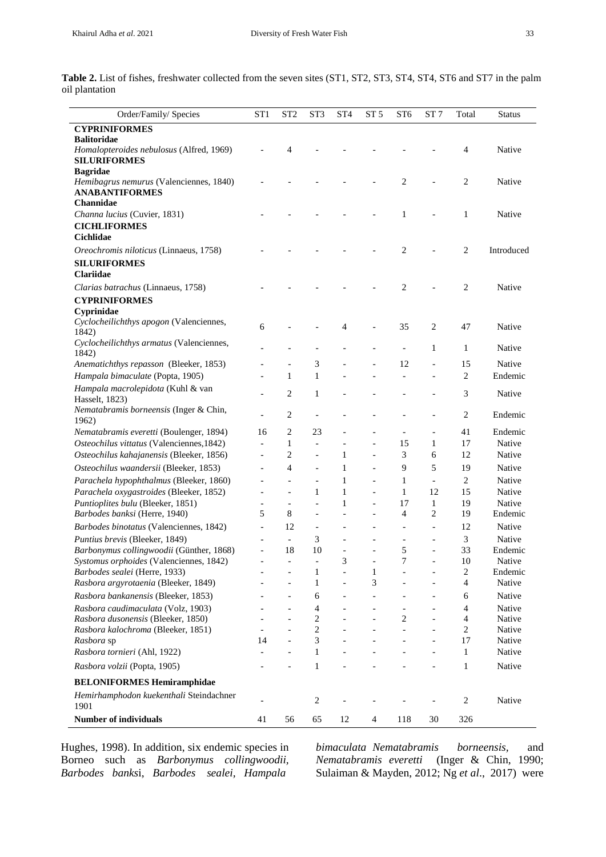| Order/Family/ Species                                           | ST <sub>1</sub>          | ST <sub>2</sub>              | ST3            | ST <sub>4</sub>          | ST 5           | ST <sub>6</sub> | ST 7                         | Total          | <b>Status</b> |
|-----------------------------------------------------------------|--------------------------|------------------------------|----------------|--------------------------|----------------|-----------------|------------------------------|----------------|---------------|
| <b>CYPRINIFORMES</b>                                            |                          |                              |                |                          |                |                 |                              |                |               |
| <b>Balitoridae</b>                                              |                          |                              |                |                          |                |                 |                              |                |               |
| Homalopteroides nebulosus (Alfred, 1969)<br><b>SILURIFORMES</b> |                          | $\overline{4}$               |                |                          |                |                 |                              | $\overline{4}$ | Native        |
| <b>Bagridae</b><br>Hemibagrus nemurus (Valenciennes, 1840)      |                          |                              |                |                          |                | 2               |                              | $\overline{2}$ | Native        |
| <b>ANABANTIFORMES</b><br>Channidae                              |                          |                              |                |                          |                |                 |                              |                |               |
| Channa lucius (Cuvier, 1831)                                    |                          |                              |                |                          |                | 1               |                              | 1              | Native        |
| <b>CICHLIFORMES</b><br><b>Cichlidae</b>                         |                          |                              |                |                          |                |                 |                              |                |               |
| Oreochromis niloticus (Linnaeus, 1758)                          |                          |                              |                |                          |                | 2               |                              | $\mathbf{2}$   | Introduced    |
| <b>SILURIFORMES</b><br><b>Clariidae</b>                         |                          |                              |                |                          |                |                 |                              |                |               |
| Clarias batrachus (Linnaeus, 1758)                              |                          |                              |                |                          |                | 2               |                              | $\overline{2}$ | Native        |
| <b>CYPRINIFORMES</b>                                            |                          |                              |                |                          |                |                 |                              |                |               |
| Cyprinidae                                                      |                          |                              |                |                          |                |                 |                              |                |               |
| Cyclocheilichthys apogon (Valenciennes,<br>1842)                | 6                        |                              |                | 4                        |                | 35              | 2                            | 47             | Native        |
| Cyclocheilichthys armatus (Valenciennes,<br>1842)               |                          |                              |                |                          |                |                 | $\mathbf{1}$                 | $\mathbf{1}$   | Native        |
| Anematichthys repasson (Bleeker, 1853)                          |                          |                              | 3              |                          |                | 12              | $\overline{a}$               | 15             | Native        |
| Hampala bimaculate (Popta, 1905)                                |                          | 1                            | $\mathbf{1}$   |                          |                |                 | $\overline{a}$               | $\sqrt{2}$     | Endemic       |
| Hampala macrolepidota (Kuhl & van<br>Hasselt, 1823)             |                          | $\overline{2}$               | 1              |                          |                |                 |                              | 3              | Native        |
| Nematabramis borneensis (Inger & Chin,<br>1962)                 |                          | 2                            | $\overline{a}$ |                          |                |                 | $\overline{\phantom{0}}$     | 2              | Endemic       |
| Nematabramis everetti (Boulenger, 1894)                         | 16                       | $\overline{c}$               | 23             |                          |                |                 | $\qquad \qquad \blacksquare$ | 41             | Endemic       |
| Osteochilus vittatus (Valenciennes, 1842)                       |                          | 1                            |                |                          |                | 15              | 1                            | 17             | Native        |
| Osteochilus kahajanensis (Bleeker, 1856)                        |                          | $\overline{c}$               |                | 1                        |                | 3               | 6                            | 12             | Native        |
| Osteochilus waandersii (Bleeker, 1853)                          |                          | $\overline{4}$               |                | 1                        | $\overline{a}$ | 9               | 5                            | 19             | Native        |
| Parachela hypophthalmus (Bleeker, 1860)                         |                          | $\overline{a}$               |                | 1                        | $\overline{a}$ | 1               | $\overline{\phantom{a}}$     | $\mathbf{2}$   | Native        |
| Parachela oxygastroides (Bleeker, 1852)                         |                          | $\overline{a}$               | $\mathbf{1}$   | $\mathbf{1}$             | $\overline{a}$ | $\mathbf{1}$    | 12                           | 15             | Native        |
| Puntioplites bulu (Bleeker, 1851)                               |                          |                              | $\overline{a}$ | $\mathbf{1}$             | $\overline{a}$ | 17              | $\mathbf{1}$                 | 19             | Native        |
| Barbodes banksi (Herre, 1940)                                   | 5                        | 8                            | $\blacksquare$ |                          | $\overline{a}$ | $\overline{4}$  | 2                            | 19             | Endemic       |
| Barbodes binotatus (Valenciennes, 1842)                         | $\overline{\phantom{a}}$ | 12                           | $\frac{1}{2}$  |                          | $\overline{a}$ |                 | $\overline{a}$               | 12             | Native        |
| Puntius brevis (Bleeker, 1849)                                  |                          | $\frac{1}{2}$                | 3              |                          |                |                 | $\overline{a}$               | 3              | Native        |
| Barbonymus collingwoodii (Günther, 1868)                        | $\overline{\phantom{a}}$ | 18                           | 10             | $\overline{\phantom{a}}$ | $\overline{a}$ | 5               | $\qquad \qquad \blacksquare$ | 33             | Endemic       |
| Systomus orphoides (Valenciennes, 1842)                         |                          | $\qquad \qquad \blacksquare$ |                | 3                        |                | 7               |                              | 10             | Native        |
| Barbodes sealei (Herre, 1933)                                   |                          |                              | 1              |                          | 1              |                 |                              | $\sqrt{2}$     | Endemic       |
| Rasbora argyrotaenia (Bleeker, 1849)                            |                          |                              | $\mathbf{1}$   |                          | 3              |                 |                              | 4              | Native        |
| Rasbora bankanensis (Bleeker, 1853)                             |                          |                              | 6              |                          |                |                 |                              | 6              | Native        |
| Rasbora caudimaculata (Volz, 1903)                              |                          |                              | 4              |                          |                |                 |                              | 4              | Native        |
| Rasbora dusonensis (Bleeker, 1850)                              |                          |                              | $\overline{c}$ |                          |                | $\overline{c}$  |                              | 4              | Native        |
| Rasbora kalochroma (Bleeker, 1851)                              |                          |                              | $\sqrt{2}$     |                          |                |                 |                              | $\overline{c}$ | Native        |
| Rasbora sp                                                      | 14                       |                              | 3              |                          |                |                 |                              | 17             | Native        |
| Rasbora tornieri (Ahl, 1922)                                    |                          |                              | $\mathbf{1}$   |                          |                |                 |                              | 1              | Native        |
| Rasbora volzii (Popta, 1905)                                    |                          |                              | 1              |                          |                |                 |                              | 1              | Native        |
| <b>BELONIFORMES Hemiramphidae</b>                               |                          |                              |                |                          |                |                 |                              |                |               |
| Hemirhamphodon kuekenthali Steindachner<br>1901                 |                          |                              | 2              |                          |                |                 |                              | $\overline{c}$ | Native        |
| <b>Number of individuals</b>                                    | 41                       | 56                           | 65             | 12                       | $\overline{4}$ | 118             | 30                           | 326            |               |

Table 2. List of fishes, freshwater collected from the seven sites (ST1, ST2, ST3, ST4, ST4, ST6 and ST7 in the palm oil plantation

Hughes, 1998). In addition, six endemic species in Borneo such as *Barbonymus collingwoodii, Barbodes banks*i, *Barbodes sealei, Hampala*

*bimaculata Nematabramis borneensis,* and *Nematabramis everetti* (Inger & Chin, 1990; Sulaiman & Mayden, 2012; Ng *et al*., 2017) were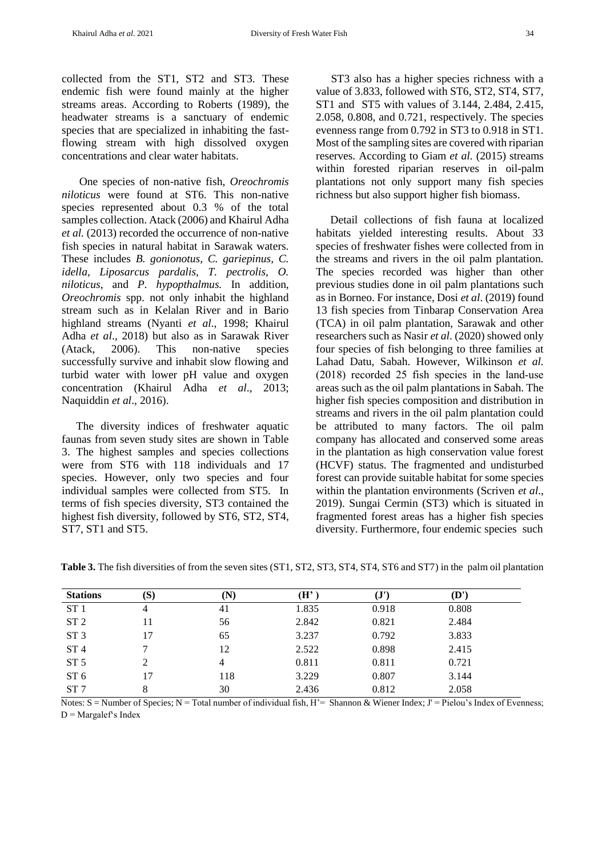collected from the ST1, ST2 and ST3. These endemic fish were found mainly at the higher streams areas. According to Roberts (1989), the headwater streams is a sanctuary of endemic species that are specialized in inhabiting the fastflowing stream with high dissolved oxygen concentrations and clear water habitats.

One species of non-native fish, *Oreochromis niloticus* were found at ST6. This non-native species represented about 0.3 % of the total samples collection. Atack (2006) and Khairul Adha *et al.* (2013) recorded the occurrence of non-native fish species in natural habitat in Sarawak waters. These includes *B. gonionotus, C. gariepinus, C. idella, Liposarcus pardalis, T. pectrolis, O. niloticus,* and *P. hypopthalmus.* In addition, *Oreochromis* spp. not only inhabit the highland stream such as in Kelalan River and in Bario highland streams (Nyanti *et al*., 1998; Khairul Adha *et al*., 2018) but also as in Sarawak River (Atack, 2006). This non-native species successfully survive and inhabit slow flowing and turbid water with lower pH value and oxygen concentration (Khairul Adha *et al*., 2013; Naquiddin *et al*., 2016).

The diversity indices of freshwater aquatic faunas from seven study sites are shown in Table 3. The highest samples and species collections were from ST6 with 118 individuals and 17 species. However, only two species and four individual samples were collected from ST5. In terms of fish species diversity, ST3 contained the highest fish diversity, followed by ST6, ST2, ST4, ST7, ST1 and ST5.

ST3 also has a higher species richness with a value of 3.833, followed with ST6, ST2, ST4, ST7, ST1 and ST5 with values of 3.144, 2.484, 2.415, 2.058, 0.808, and 0.721, respectively. The species evenness range from 0.792 in ST3 to 0.918 in ST1. Most of the sampling sites are covered with riparian reserves. According to Giam *et al.* (2015) streams within forested riparian reserves in oil-palm plantations not only support many fish species richness but also support higher fish biomass.

Detail collections of fish fauna at localized habitats yielded interesting results. About 33 species of freshwater fishes were collected from in the streams and rivers in the oil palm plantation. The species recorded was higher than other previous studies done in oil palm plantations such as in Borneo. For instance, Dosi *et al*. (2019) found 13 fish species from Tinbarap Conservation Area (TCA) in oil palm plantation, Sarawak and other researchers such as Nasir *et al*. (2020) showed only four species of fish belonging to three families at Lahad Datu, Sabah. However, Wilkinson *et al.* (2018) recorded 25 fish species in the land‐use areas such as the oil palm plantations in Sabah. The higher fish species composition and distribution in streams and rivers in the oil palm plantation could be attributed to many factors. The oil palm company has allocated and conserved some areas in the plantation as high conservation value forest (HCVF) status. The fragmented and undisturbed forest can provide suitable habitat for some species within the plantation environments (Scriven *et al*., 2019). Sungai Cermin (ST3) which is situated in fragmented forest areas has a higher fish species diversity. Furthermore, four endemic species such

| <b>Stations</b> | $\left( S\right)$ | (N) | (H'   | $\mathbf{J}^{\mathbf{r}}$ | $\left(\mathbf{D}^{\prime}\right)$ |
|-----------------|-------------------|-----|-------|---------------------------|------------------------------------|
| ST <sub>1</sub> | 4                 | 41  | 1.835 | 0.918                     | 0.808                              |
| ST <sub>2</sub> |                   | 56  | 2.842 | 0.821                     | 2.484                              |
| ST <sub>3</sub> | 17                | 65  | 3.237 | 0.792                     | 3.833                              |
| ST <sub>4</sub> |                   | 12  | 2.522 | 0.898                     | 2.415                              |
| ST <sub>5</sub> |                   | 4   | 0.811 | 0.811                     | 0.721                              |
| ST <sub>6</sub> |                   | 118 | 3.229 | 0.807                     | 3.144                              |
| ST <sub>7</sub> | 8                 | 30  | 2.436 | 0.812                     | 2.058                              |

**Table 3.** The fish diversities of from the seven sites (ST1, ST2, ST3, ST4, ST4, ST6 and ST7) in the palm oil plantation

Notes:  $S =$  Number of Species; N = Total number of individual fish, H'= Shannon & Wiener Index; J' = Pielou's Index of Evenness;  $D = Margalef's Index$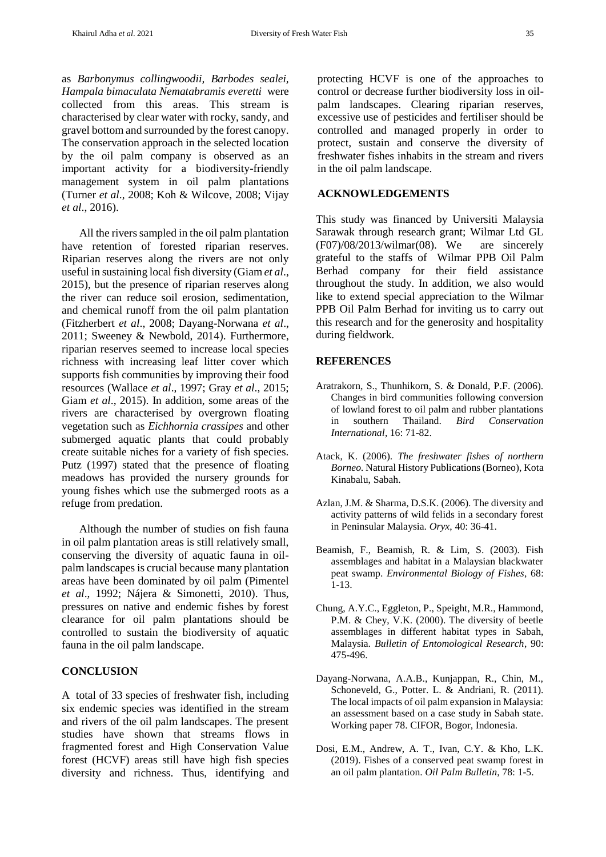as *Barbonymus collingwoodii, Barbodes sealei, Hampala bimaculata Nematabramis everetti* were collected from this areas. This stream is characterised by clear water with rocky, sandy, and gravel bottom and surrounded by the forest canopy. The conservation approach in the selected location by the oil palm company is observed as an important activity for a biodiversity-friendly management system in oil palm plantations (Turner *et al*., 2008; Koh & Wilcove, 2008; Vijay *et al*., 2016).

All the rivers sampled in the oil palm plantation have retention of forested riparian reserves. Riparian reserves along the rivers are not only useful in sustaining local fish diversity (Giam *et al*., 2015), but the presence of riparian reserves along the river can reduce soil erosion, sedimentation, and chemical runoff from the oil palm plantation (Fitzherbert *et al*., 2008; Dayang-Norwana *et al*., 2011; Sweeney & Newbold, 2014). Furthermore, riparian reserves seemed to increase local species richness with increasing leaf litter cover which supports fish communities by improving their food resources (Wallace *et al*., 1997; Gray *et al*., 2015; Giam *et al*., 2015). In addition, some areas of the rivers are characterised by overgrown floating vegetation such as *Eichhornia crassipes* and other submerged aquatic plants that could probably create suitable niches for a variety of fish species. Putz (1997) stated that the presence of floating meadows has provided the nursery grounds for young fishes which use the submerged roots as a refuge from predation.

Although the number of studies on fish fauna in oil palm plantation areas is still relatively small, conserving the diversity of aquatic fauna in oilpalm landscapes is crucial because many plantation areas have been dominated by oil palm (Pimentel *et al*., 1992; Nájera & Simonetti, 2010). Thus, pressures on native and endemic fishes by forest clearance for oil palm plantations should be controlled to sustain the biodiversity of aquatic fauna in the oil palm landscape.

#### **CONCLUSION**

A total of 33 species of freshwater fish, including six endemic species was identified in the stream and rivers of the oil palm landscapes. The present studies have shown that streams flows in fragmented forest and High Conservation Value forest (HCVF) areas still have high fish species diversity and richness. Thus, identifying and protecting HCVF is one of the approaches to control or decrease further biodiversity loss in oilpalm landscapes. Clearing riparian reserves, excessive use of pesticides and fertiliser should be controlled and managed properly in order to protect, sustain and conserve the diversity of freshwater fishes inhabits in the stream and rivers in the oil palm landscape.

#### **ACKNOWLEDGEMENTS**

This study was financed by Universiti Malaysia Sarawak through research grant; Wilmar Ltd GL  $(F07)/08/2013$ /wilmar $(08)$ . We are sincerely grateful to the staffs of Wilmar PPB Oil Palm Berhad company for their field assistance throughout the study. In addition, we also would like to extend special appreciation to the Wilmar PPB Oil Palm Berhad for inviting us to carry out this research and for the generosity and hospitality during fieldwork.

## **REFERENCES**

- Aratrakorn, S., Thunhikorn, S. & Donald, P.F. (2006). Changes in bird communities following conversion of lowland forest to oil palm and rubber plantations in southern Thailand. *Bird Conservation International*, 16: 71-82.
- Atack, K. (2006). *The freshwater fishes of northern Borneo.* Natural History Publications (Borneo), Kota Kinabalu, Sabah.
- Azlan, J.M. & Sharma, D.S.K. (2006). The diversity and activity patterns of wild felids in a secondary forest in Peninsular Malaysia. *Oryx*, 40: 36-41.
- Beamish, F., Beamish, R. & Lim, S. (2003). Fish assemblages and habitat in a Malaysian blackwater peat swamp. *Environmental Biology of Fishes*, 68: 1-13.
- Chung, A.Y.C., Eggleton, P., Speight, M.R., Hammond, P.M. & Chey, V.K. (2000). The diversity of beetle assemblages in different habitat types in Sabah, Malaysia. *Bulletin of Entomological Research*, 90: 475-496.
- Dayang-Norwana, A.A.B., Kunjappan, R., Chin, M., Schoneveld, G., Potter. L. & Andriani, R. (2011). The local impacts of oil palm expansion in Malaysia: an assessment based on a case study in Sabah state. Working paper 78. CIFOR, Bogor, Indonesia.
- Dosi, E.M., Andrew, A. T., Ivan, C.Y. & Kho, L.K. (2019). Fishes of a conserved peat swamp forest in an oil palm plantation. *Oil Palm Bulletin*, 78: 1-5.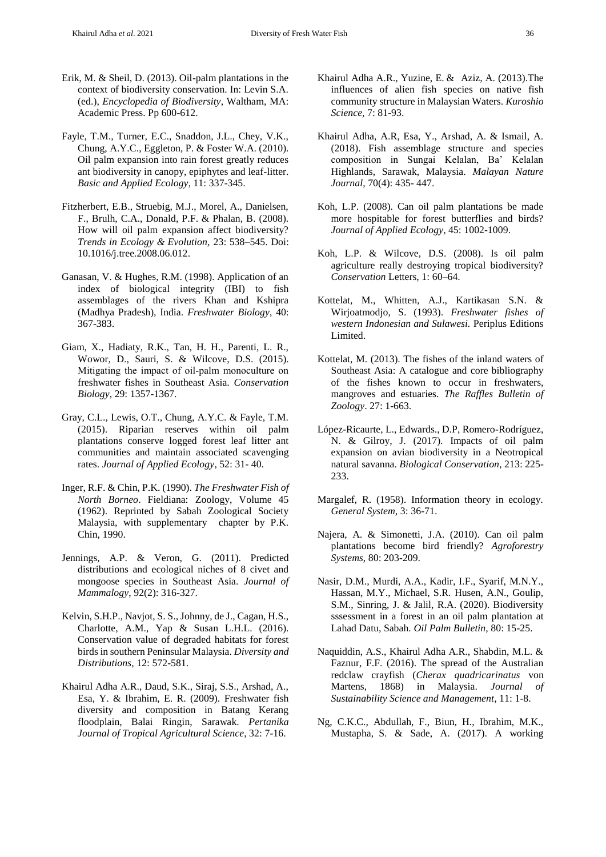- Erik, M. & Sheil, D. (2013). Oil-palm plantations in the context of biodiversity conservation. In: Levin S.A. (ed.), *Encyclopedia of Biodiversity*, Waltham, MA: Academic Press. Pp 600-612.
- Fayle, T.M., Turner, E.C., Snaddon, J.L., Chey, V.K., Chung, A.Y.C., Eggleton, P. & Foster W.A. (2010). Oil palm expansion into rain forest greatly reduces ant biodiversity in canopy, epiphytes and leaf-litter. *Basic and Applied Ecology*, 11: 337-345.
- Fitzherbert, E.B., Struebig, M.J., Morel, A., Danielsen, F., Brulh, C.A., Donald, P.F. & Phalan, B. (2008). How will oil palm expansion affect biodiversity? *Trends in Ecology & Evolution,* 23: 538–545. Doi: 10.1016/j.tree.2008.06.012.
- Ganasan, V. & Hughes, R.M. (1998). Application of an index of biological integrity (IBI) to fish assemblages of the rivers Khan and Kshipra (Madhya Pradesh), India. *Freshwater Biology*, 40: 367-383.
- Giam, X., Hadiaty, R.K., Tan, H. H., Parenti, L. R., Wowor, D., Sauri, S. & Wilcove, D.S. (2015). Mitigating the impact of oil‐palm monoculture on freshwater fishes in Southeast Asia. *Conservation Biology*, 29: 1357-1367.
- Gray, C.L., Lewis, O.T., Chung, A.Y.C. & Fayle, T.M. (2015). Riparian reserves within oil palm plantations conserve logged forest leaf litter ant communities and maintain associated scavenging rates. *Journal of Applied Ecology*, 52: 31- 40.
- Inger, R.F. & Chin, P.K. (1990). *The Freshwater Fish of North Borneo*. Fieldiana: Zoology, Volume 45 (1962). Reprinted by Sabah Zoological Society Malaysia, with supplementary chapter by P.K. Chin, 1990.
- Jennings, A.P. & Veron, G. (2011). Predicted distributions and ecological niches of 8 civet and mongoose species in Southeast Asia. *Journal of Mammalogy*, 92(2): 316-327.
- Kelvin, S.H.P., Navjot, S. S., Johnny, de J., Cagan, H.S., Charlotte, A.M., Yap & Susan L.H.L. (2016). Conservation value of degraded habitats for forest birds in southern Peninsular Malaysia. *Diversity and Distributions*, 12: 572-581.
- Khairul Adha A.R., Daud, S.K., Siraj, S.S., Arshad, A., Esa, Y. & Ibrahim, E. R. (2009). Freshwater fish diversity and composition in Batang Kerang floodplain, Balai Ringin, Sarawak. *Pertanika Journal of Tropical Agricultural Science*, 32: 7-16.
- Khairul Adha A.R., Yuzine, E. & Aziz, A. (2013).The influences of alien fish species on native fish community structure in Malaysian Waters. *Kuroshio Science*, 7: 81-93.
- Khairul Adha, A.R, Esa, Y., Arshad, A. & Ismail, A. (2018). Fish assemblage structure and species composition in Sungai Kelalan, Ba' Kelalan Highlands, Sarawak, Malaysia. *Malayan Nature Journal*, 70(4): 435- 447.
- Koh, L.P. (2008). Can oil palm plantations be made more hospitable for forest butterflies and birds? *Journal of Applied Ecology*, 45: 1002-1009.
- Koh, L.P. & Wilcove, D.S. (2008). Is oil palm agriculture really destroying tropical biodiversity? *Conservation* Letters, 1: 60–64.
- Kottelat, M., Whitten, A.J., Kartikasan S.N. & Wirjoatmodjo, S. (1993). *Freshwater fishes of western Indonesian and Sulawesi.* Periplus Editions Limited.
- Kottelat, M. (2013). The fishes of the inland waters of Southeast Asia: A catalogue and core bibliography of the fishes known to occur in freshwaters, mangroves and estuaries. *The Raffles Bulletin of Zoology*. 27: 1-663.
- López-Ricaurte, L., Edwards., D.P, Romero-Rodríguez, N. & Gilroy, J. (2017). Impacts of oil palm expansion on avian biodiversity in a Neotropical natural savanna. *Biological Conservation*, 213: 225- 233.
- Margalef, R. (1958). Information theory in ecology. *General System*, 3: 36-71.
- Najera, A. & Simonetti, J.A. (2010). Can oil palm plantations become bird friendly? *Agroforestry Systems*, 80: 203-209.
- Nasir, D.M., Murdi, A.A., Kadir, I.F., Syarif, M.N.Y., Hassan, M.Y., Michael, S.R. Husen, A.N., Goulip, S.M., Sinring, J. & Jalil, R.A. (2020). Biodiversity sssessment in a forest in an oil palm plantation at Lahad Datu, Sabah. *Oil Palm Bulletin*, 80: 15-25.
- Naquiddin, A.S., Khairul Adha A.R., Shabdin, M.L. & Faznur, F.F. (2016). The spread of the Australian redclaw crayfish (*Cherax quadricarinatus* von Martens, 1868) in Malaysia. *Journal of Sustainability Science and Management*, 11: 1-8.
- Ng, C.K.C., Abdullah, F., Biun, H., Ibrahim, M.K., Mustapha, S. & Sade, A. (2017). A working